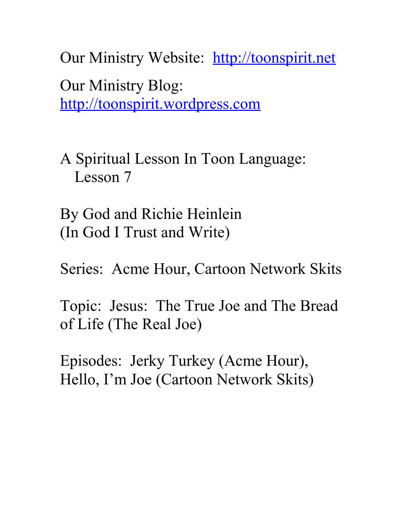Our Ministry Website: [http://toonspirit.net](http://toonspirit.net/) Our Ministry Blog: [http://toonspirit.wordpress.com](http://toonspirit.wordpress.com/)

A Spiritual Lesson In Toon Language: Lesson 7

By God and Richie Heinlein (In God I Trust and Write)

Series: Acme Hour, Cartoon Network Skits

Topic: Jesus: The True Joe and The Bread of Life (The Real Joe)

Episodes: Jerky Turkey (Acme Hour), Hello, I'm Joe (Cartoon Network Skits)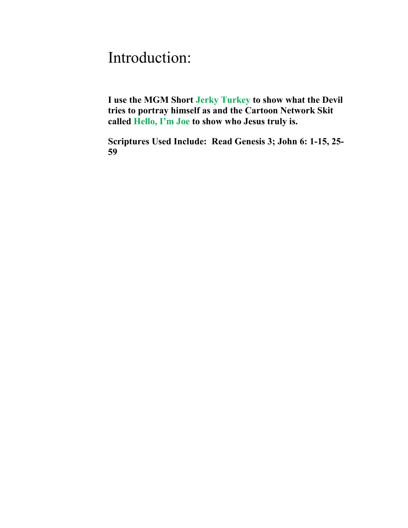## Introduction:

**I use the MGM Short Jerky Turkey to show what the Devil tries to portray himself as and the Cartoon Network Skit called Hello, I'm Joe to show who Jesus truly is.**

**Scriptures Used Include: Read Genesis 3; John 6: 1-15, 25- 59**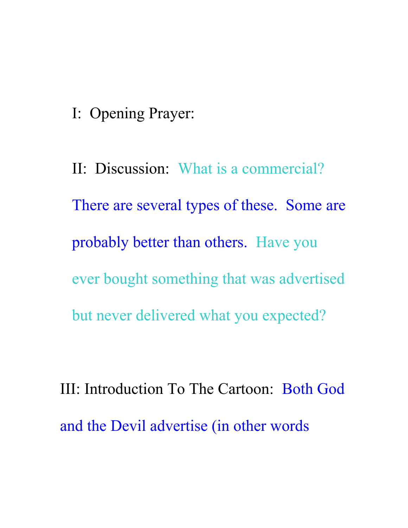I: Opening Prayer:

II: Discussion: What is a commercial? There are several types of these. Some are probably better than others. Have you ever bought something that was advertised but never delivered what you expected?

III: Introduction To The Cartoon: Both God and the Devil advertise (in other words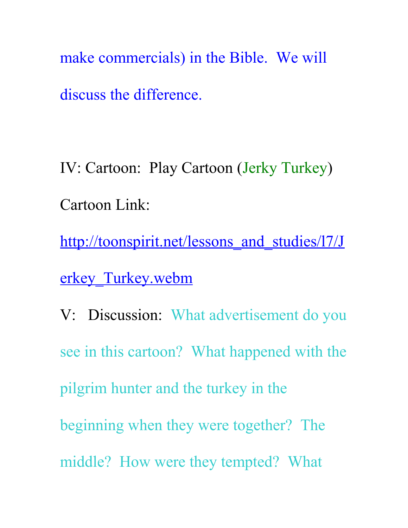make commercials) in the Bible. We will discuss the difference.

IV: Cartoon: Play Cartoon (Jerky Turkey) Cartoon Link:

http://toonspirit.net/lessons and studies/l7/J [erkey\\_Turkey.webm](http://toonspirit.net/lessons_and_studies/l7/Jerkey_Turkey.webm)

V: Discussion: What advertisement do you see in this cartoon? What happened with the pilgrim hunter and the turkey in the beginning when they were together? The middle? How were they tempted? What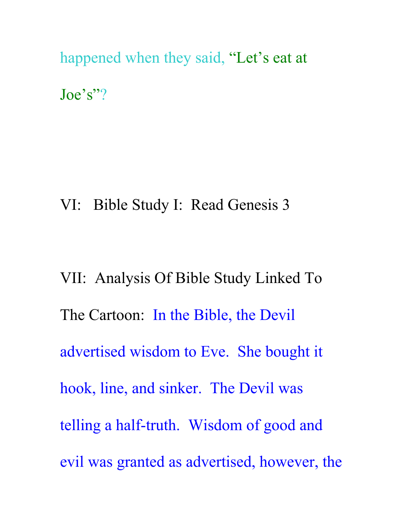happened when they said, "Let's eat at Joe's"?

VI: Bible Study I: Read Genesis 3

VII: Analysis Of Bible Study Linked To The Cartoon: In the Bible, the Devil advertised wisdom to Eve. She bought it hook, line, and sinker. The Devil was telling a half-truth. Wisdom of good and evil was granted as advertised, however, the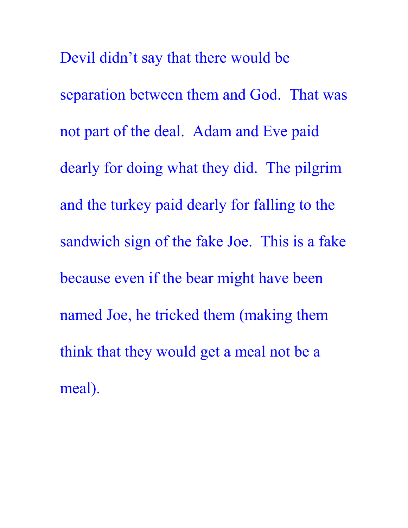Devil didn't say that there would be separation between them and God. That was not part of the deal. Adam and Eve paid dearly for doing what they did. The pilgrim and the turkey paid dearly for falling to the sandwich sign of the fake Joe. This is a fake because even if the bear might have been named Joe, he tricked them (making them think that they would get a meal not be a meal).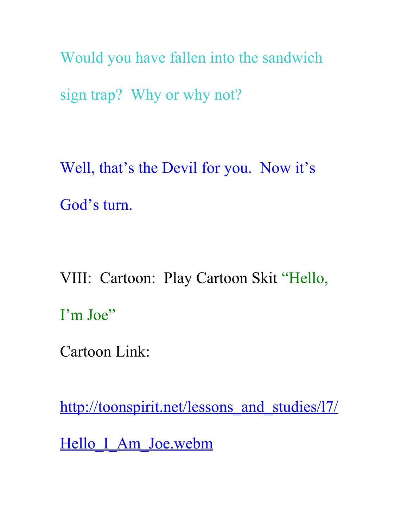Would you have fallen into the sandwich sign trap? Why or why not?

Well, that's the Devil for you. Now it's God's turn.

VIII: Cartoon: Play Cartoon Skit "Hello, I'm Joe"

Cartoon Link:

[http://toonspirit.net/lessons\\_and\\_studies/l7/](http://toonspirit.net/lessons_and_studies/l7/Hello_I_Am_Joe.webm)

Hello I Am Joe.webm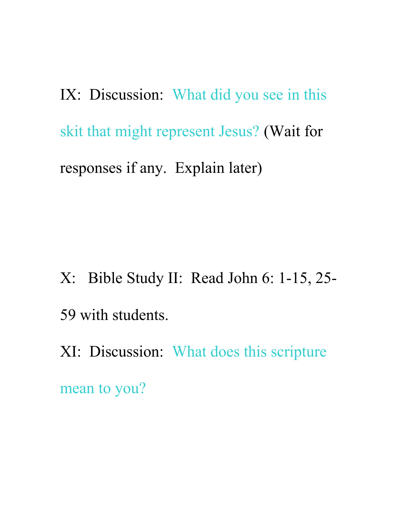IX: Discussion: What did you see in this skit that might represent Jesus? (Wait for responses if any. Explain later)

- X: Bible Study II: Read John 6: 1-15, 25- 59 with students.
- XI: Discussion: What does this scripture

mean to you?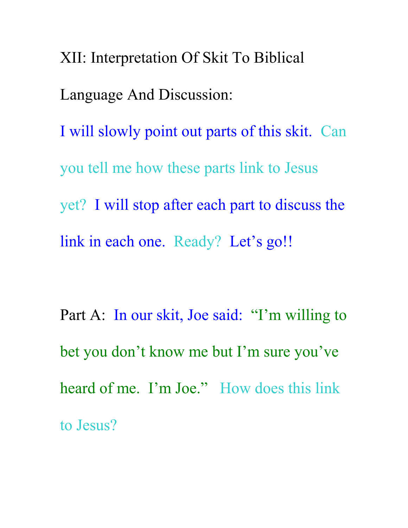XII: Interpretation Of Skit To Biblical Language And Discussion: I will slowly point out parts of this skit. Can you tell me how these parts link to Jesus yet? I will stop after each part to discuss the link in each one. Ready? Let's go!!

Part A: In our skit, Joe said: "I'm willing to bet you don't know me but I'm sure you've heard of me. I'm Joe." How does this link to Jesus?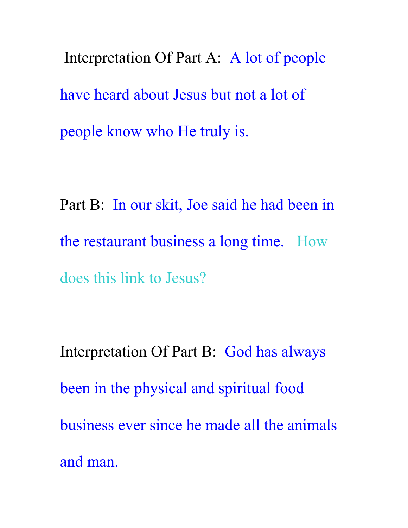Interpretation Of Part A: A lot of people have heard about Jesus but not a lot of people know who He truly is.

Part B: In our skit, Joe said he had been in the restaurant business a long time. How does this link to Jesus?

Interpretation Of Part B: God has always been in the physical and spiritual food business ever since he made all the animals and man.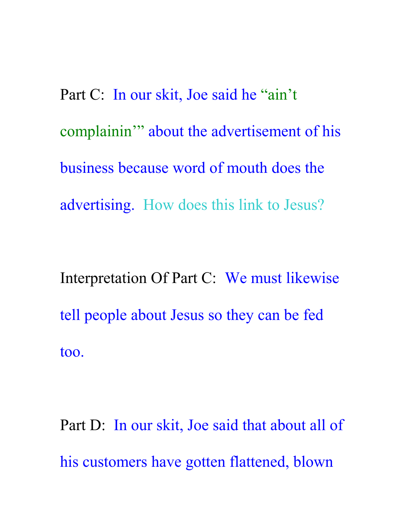Part C: In our skit, Joe said he "ain't complainin'" about the advertisement of his business because word of mouth does the advertising. How does this link to Jesus?

Interpretation Of Part C: We must likewise tell people about Jesus so they can be fed too.

Part D: In our skit, Joe said that about all of his customers have gotten flattened, blown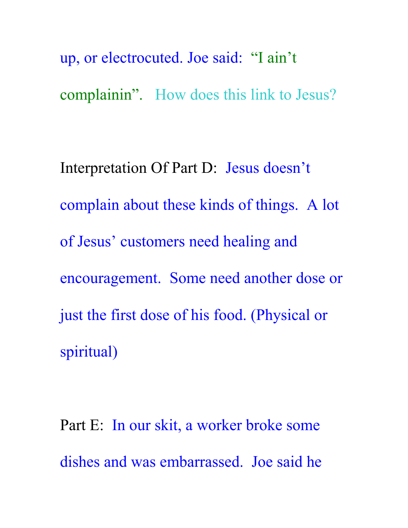up, or electrocuted. Joe said: "I ain't complainin". How does this link to Jesus?

Interpretation Of Part D: Jesus doesn't complain about these kinds of things. A lot of Jesus' customers need healing and encouragement. Some need another dose or just the first dose of his food. (Physical or spiritual)

Part E: In our skit, a worker broke some dishes and was embarrassed. Joe said he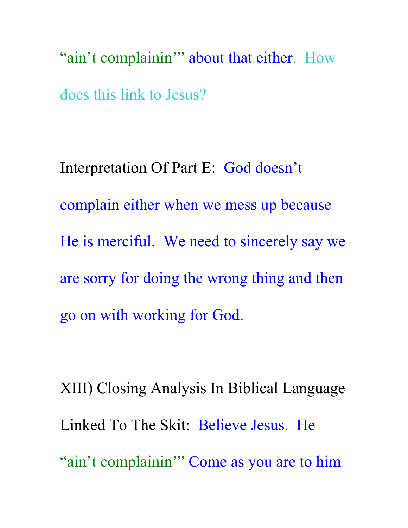"ain't complainin'" about that either. How does this link to Jesus?

Interpretation Of Part E: God doesn't complain either when we mess up because He is merciful. We need to sincerely say we are sorry for doing the wrong thing and then go on with working for God.

XIII) Closing Analysis In Biblical Language Linked To The Skit: Believe Jesus. He "ain't complainin'" Come as you are to him